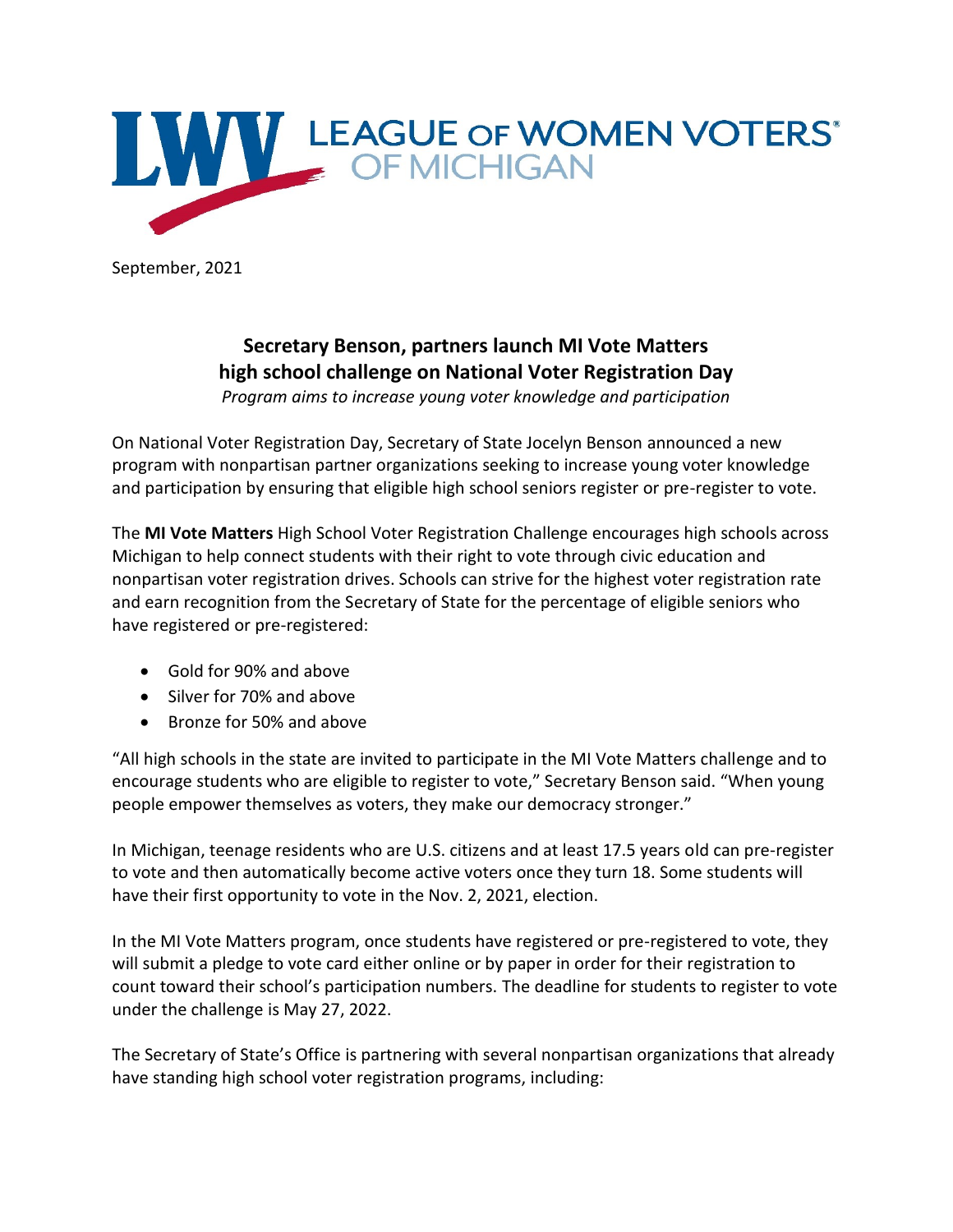

September, 2021

## **Secretary Benson, partners launch MI Vote Matters high school challenge on National Voter Registration Day**

*Program aims to increase young voter knowledge and participation*

On National Voter Registration Day, Secretary of State Jocelyn Benson announced a new program with nonpartisan partner organizations seeking to increase young voter knowledge and participation by ensuring that eligible high school seniors register or pre-register to vote.

The **MI Vote Matters** High School Voter Registration Challenge encourages high schools across Michigan to help connect students with their right to vote through civic education and nonpartisan voter registration drives. Schools can strive for the highest voter registration rate and earn recognition from the Secretary of State for the percentage of eligible seniors who have registered or pre-registered:

- Gold for 90% and above
- Silver for 70% and above
- Bronze for 50% and above

"All high schools in the state are invited to participate in the MI Vote Matters challenge and to encourage students who are eligible to register to vote," Secretary Benson said. "When young people empower themselves as voters, they make our democracy stronger."

In Michigan, teenage residents who are U.S. citizens and at least 17.5 years old can pre-register to vote and then automatically become active voters once they turn 18. Some students will have their first opportunity to vote in the Nov. 2, 2021, election.

In the MI Vote Matters program, once students have registered or pre-registered to vote, they will submit a pledge to vote card either online or by paper in order for their registration to count toward their school's participation numbers. The deadline for students to register to vote under the challenge is May 27, 2022.

The Secretary of State's Office is partnering with several nonpartisan organizations that already have standing high school voter registration programs, including: